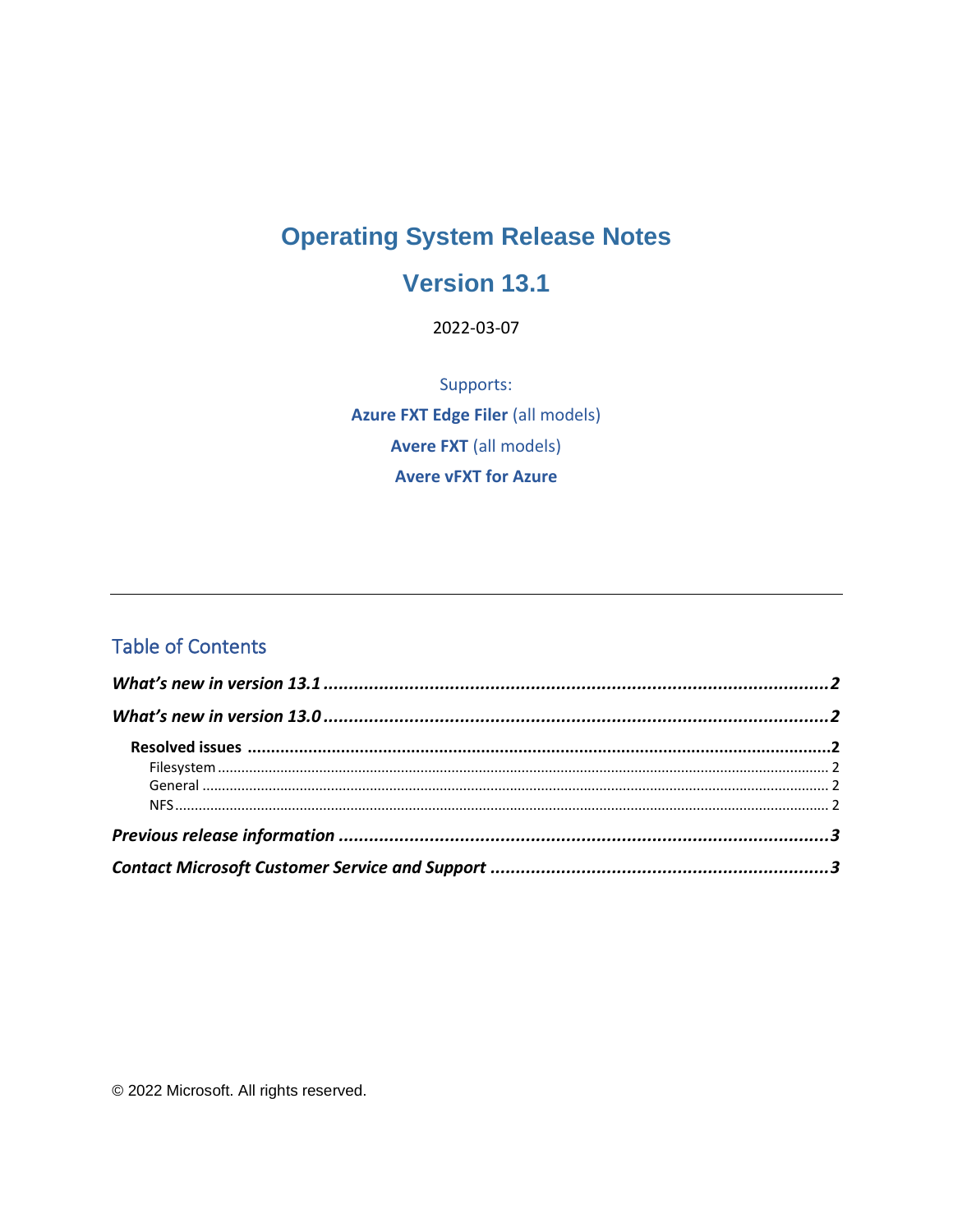# **Operating System Release Notes**

#### **Version 13.1**

2022-03-07

Supports: **Azure FXT Edge Filer (all models) Avere FXT (all models) Avere vFXT for Azure** 

#### **Table of Contents**

© 2022 Microsoft. All rights reserved.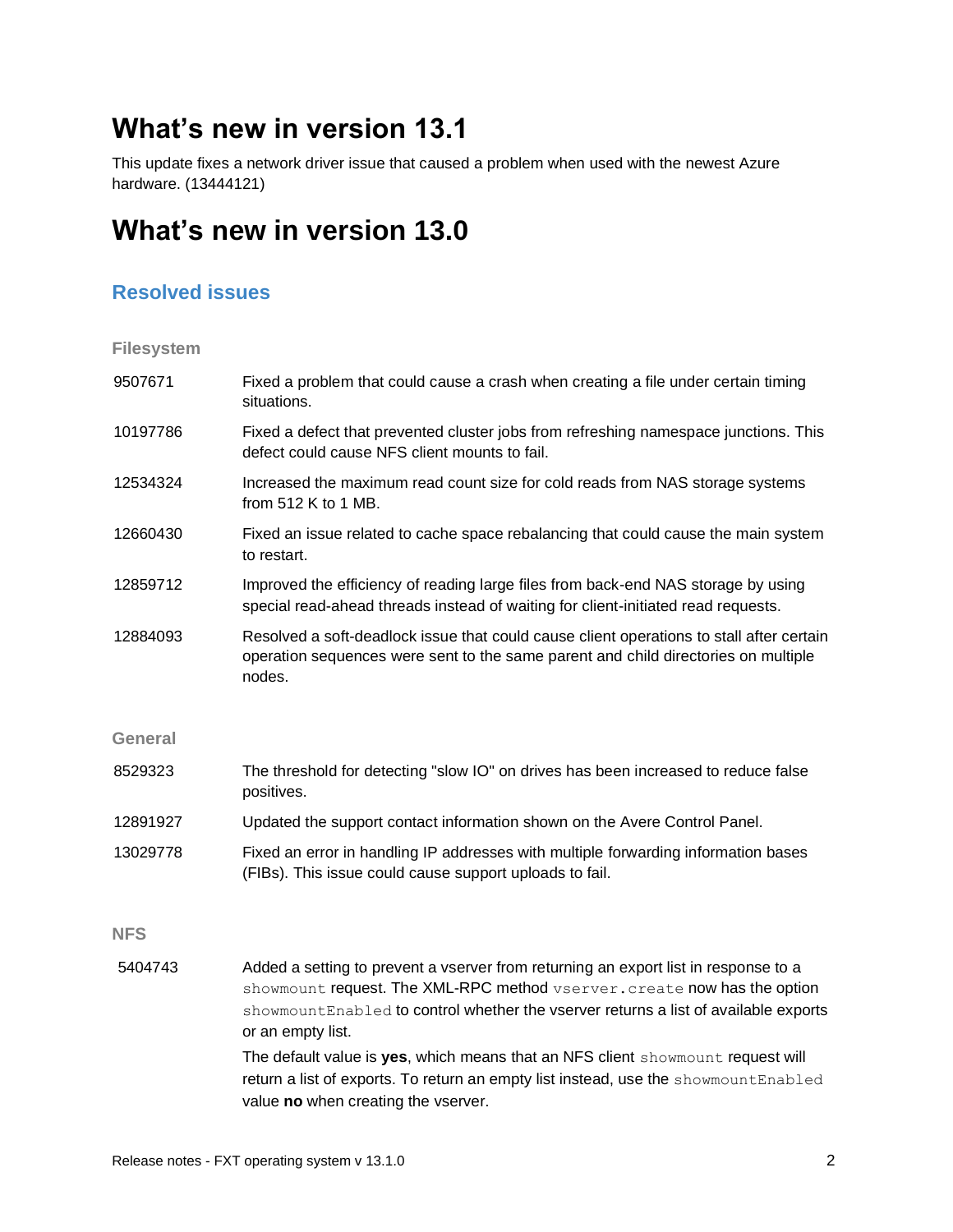# <span id="page-1-0"></span>**What's new in version 13.1**

This update fixes a network driver issue that caused a problem when used with the newest Azure hardware. (13444121)

# <span id="page-1-1"></span>**What's new in version 13.0**

#### <span id="page-1-2"></span>**Resolved issues**

<span id="page-1-3"></span>**Filesystem**

<span id="page-1-5"></span><span id="page-1-4"></span>

| Fixed a problem that could cause a crash when creating a file under certain timing<br>situations.                                                                                                                                                                                                                                                                                                                                                                                            |
|----------------------------------------------------------------------------------------------------------------------------------------------------------------------------------------------------------------------------------------------------------------------------------------------------------------------------------------------------------------------------------------------------------------------------------------------------------------------------------------------|
| Fixed a defect that prevented cluster jobs from refreshing namespace junctions. This<br>defect could cause NFS client mounts to fail.                                                                                                                                                                                                                                                                                                                                                        |
| Increased the maximum read count size for cold reads from NAS storage systems<br>from 512 K to 1 MB.                                                                                                                                                                                                                                                                                                                                                                                         |
| Fixed an issue related to cache space rebalancing that could cause the main system<br>to restart.                                                                                                                                                                                                                                                                                                                                                                                            |
| Improved the efficiency of reading large files from back-end NAS storage by using<br>special read-ahead threads instead of waiting for client-initiated read requests.                                                                                                                                                                                                                                                                                                                       |
| Resolved a soft-deadlock issue that could cause client operations to stall after certain<br>operation sequences were sent to the same parent and child directories on multiple<br>nodes.                                                                                                                                                                                                                                                                                                     |
|                                                                                                                                                                                                                                                                                                                                                                                                                                                                                              |
| The threshold for detecting "slow IO" on drives has been increased to reduce false<br>positives.                                                                                                                                                                                                                                                                                                                                                                                             |
| Updated the support contact information shown on the Avere Control Panel.                                                                                                                                                                                                                                                                                                                                                                                                                    |
| Fixed an error in handling IP addresses with multiple forwarding information bases<br>(FIBs). This issue could cause support uploads to fail.                                                                                                                                                                                                                                                                                                                                                |
|                                                                                                                                                                                                                                                                                                                                                                                                                                                                                              |
| Added a setting to prevent a vserver from returning an export list in response to a<br>showmount request. The XML-RPC method vserver. create now has the option<br>showmountEnabled to control whether the vserver returns a list of available exports<br>or an empty list.<br>The default value is yes, which means that an NFS client showmount request will<br>return a list of exports. To return an empty list instead, use the showmountEnabled<br>value no when creating the vserver. |
|                                                                                                                                                                                                                                                                                                                                                                                                                                                                                              |